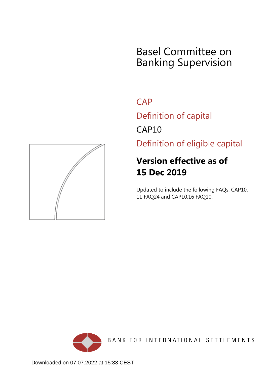# Basel Committee on Banking Supervision

**CAP** 

Definition of capital

CAP10

Definition of eligible capital

# **Version effective as of 15 Dec 2019**

Updated to include the following FAQs: CAP10. 11 FAQ24 and CAP10.16 FAQ10.



BANK FOR INTERNATIONAL SETTLEMENTS

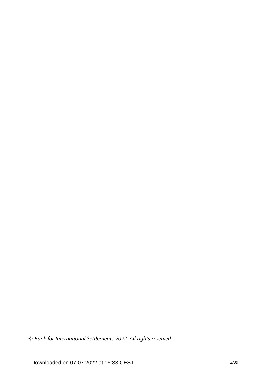*© Bank for International Settlements 2022. All rights reserved.*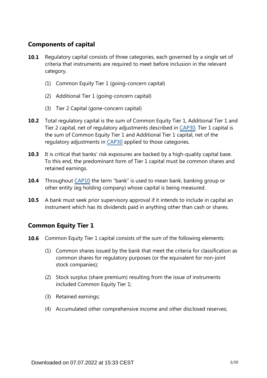# **Components of capital**

- Regulatory capital consists of three categories, each governed by a single set of criteria that instruments are required to meet before inclusion in the relevant category. **10.1**
	- (1) Common Equity Tier 1 (going-concern capital)
	- (2) Additional Tier 1 (going-concern capital)
	- (3) Tier 2 Capital (gone-concern capital)
- **10.2** Total regulatory capital is the sum of Common Equity Tier 1, Additional Tier 1 and Tier 2 capital, net of regulatory adjustments described in [CAP30.](https://www.bis.org/basel_framework/chapter/CAP/30.htm?tldate=20250101&inforce=20191215&published=20191215) Tier 1 capital is the sum of Common Equity Tier 1 and Additional Tier 1 capital, net of the regulatory adjustments in [CAP30](https://www.bis.org/basel_framework/chapter/CAP/30.htm?tldate=20250101&inforce=20191215&published=20191215) applied to those categories.
- **10.3** It is critical that banks' risk exposures are backed by a high-quality capital base. To this end, the predominant form of Tier 1 capital must be common shares and retained earnings.
- **10.4** Throughout [CAP10](https://www.bis.org/basel_framework/chapter/CAP/10.htm?tldate=20250101&inforce=20191215&published=20200605) the term "bank" is used to mean bank, banking group or other entity (eg holding company) whose capital is being measured.
- A bank must seek prior supervisory approval if it intends to include in capital an instrument which has its dividends paid in anything other than cash or shares. **10.5**

# **Common Equity Tier 1**

- **10.6** Common Equity Tier 1 capital consists of the sum of the following elements:
	- (1) Common shares issued by the bank that meet the criteria for classification as common shares for regulatory purposes (or the equivalent for non-joint stock companies);
	- (2) Stock surplus (share premium) resulting from the issue of instruments included Common Equity Tier 1;
	- (3) Retained earnings;
	- (4) Accumulated other comprehensive income and other disclosed reserves;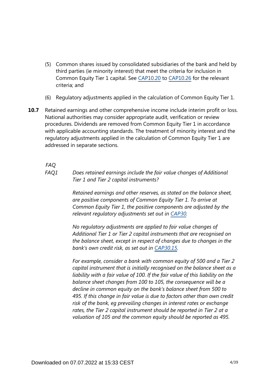- (5) Common shares issued by consolidated subsidiaries of the bank and held by third parties (ie minority interest) that meet the criteria for inclusion in Common Equity Tier 1 capital. See [CAP10.20](https://www.bis.org/basel_framework/chapter/CAP/10.htm?tldate=20250101&inforce=20191215&published=20200605#paragraph_CAP_10_20191215_10_20) to [CAP10.26](https://www.bis.org/basel_framework/chapter/CAP/10.htm?tldate=20250101&inforce=20191215&published=20200605#paragraph_CAP_10_20191215_10_26) for the relevant criteria; and
- (6) Regulatory adjustments applied in the calculation of Common Equity Tier 1.
- Retained earnings and other comprehensive income include interim profit or loss. National authorities may consider appropriate audit, verification or review procedures. Dividends are removed from Common Equity Tier 1 in accordance with applicable accounting standards. The treatment of minority interest and the regulatory adjustments applied in the calculation of Common Equity Tier 1 are addressed in separate sections. **10.7**

*FAQ*

*Does retained earnings include the fair value changes of Additional Tier 1 and Tier 2 capital instruments? FAQ1*

> *Retained earnings and other reserves, as stated on the balance sheet, are positive components of Common Equity Tier 1. To arrive at Common Equity Tier 1, the positive components are adjusted by the relevant regulatory adjustments set out in [CAP30](https://www.bis.org/basel_framework/chapter/CAP/30.htm?tldate=20250101&inforce=20191215&published=20191215).*

> *No regulatory adjustments are applied to fair value changes of Additional Tier 1 or Tier 2 capital instruments that are recognised on the balance sheet, except in respect of changes due to changes in the bank's own credit risk, as set out in [CAP30.15](https://www.bis.org/basel_framework/chapter/CAP/30.htm?tldate=20250101&inforce=20191215&published=20191215#paragraph_CAP_30_20191215_30_15).*

*For example, consider a bank with common equity of 500 and a Tier 2 capital instrument that is initially recognised on the balance sheet as a liability with a fair value of 100. If the fair value of this liability on the balance sheet changes from 100 to 105, the consequence will be a decline in common equity on the bank's balance sheet from 500 to 495. If this change in fair value is due to factors other than own credit risk of the bank, eg prevailing changes in interest rates or exchange rates, the Tier 2 capital instrument should be reported in Tier 2 at a valuation of 105 and the common equity should be reported as 495.*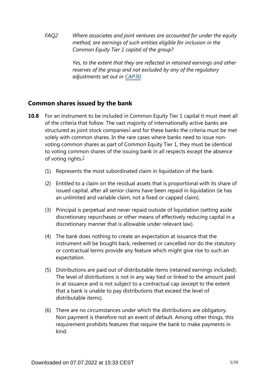*Where associates and joint ventures are accounted for under the equity method, are earnings of such entities eligible for inclusion in the Common Equity Tier 1 capital of the group? FAQ2*

> *Yes, to the extent that they are reflected in retained earnings and other reserves of the group and not excluded by any of the regulatory adjustments set out in [CAP30.](https://www.bis.org/basel_framework/chapter/CAP/30.htm?tldate=20250101&inforce=20191215&published=20191215)*

# **Common shares issued by the bank**

- <span id="page-4-1"></span><span id="page-4-0"></span>**10.8** For an instrument to be included in Common Equity Tier 1 capital it must meet all of the criteria that follow. The vast majority of internationally active banks are structured as joint stock companies $1$  and for these banks the criteria must be met solely with common shares. In the rare cases where banks need to issue nonvoting common shares as part of Common Equity Tier 1, they must be identical to voting common shares of the issuing bank in all respects except the absence of voting rights. $\frac{2}{3}$  $\frac{2}{3}$  $\frac{2}{3}$ 
	- (1) Represents the most subordinated claim in liquidation of the bank.
	- (2) Entitled to a claim on the residual assets that is proportional with its share of issued capital, after all senior claims have been repaid in liquidation (ie has an unlimited and variable claim, not a fixed or capped claim).
	- (3) Principal is perpetual and never repaid outside of liquidation (setting aside discretionary repurchases or other means of effectively reducing capital in a discretionary manner that is allowable under relevant law).
	- (4) The bank does nothing to create an expectation at issuance that the instrument will be bought back, redeemed or cancelled nor do the statutory or contractual terms provide any feature which might give rise to such an expectation.
	- (5) Distributions are paid out of distributable items (retained earnings included). The level of distributions is not in any way tied or linked to the amount paid in at issuance and is not subject to a contractual cap (except to the extent that a bank is unable to pay distributions that exceed the level of distributable items).
	- (6) There are no circumstances under which the distributions are obligatory. Non payment is therefore not an event of default. Among other things, this requirement prohibits features that require the bank to make payments in kind.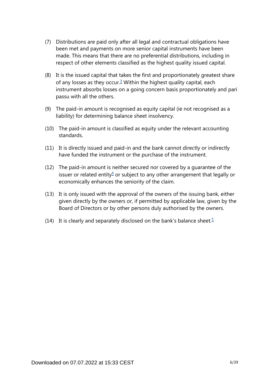- (7) Distributions are paid only after all legal and contractual obligations have been met and payments on more senior capital instruments have been made. This means that there are no preferential distributions, including in respect of other elements classified as the highest quality issued capital.
- <span id="page-5-0"></span>(8) It is the issued capital that takes the first and proportionately greatest share of any losses as they occur. $3$  Within the highest quality capital, each instrument absorbs losses on a going concern basis proportionately and pari passu with all the others.
- (9) The paid-in amount is recognised as equity capital (ie not recognised as a liability) for determining balance sheet insolvency.
- (10) The paid-in amount is classified as equity under the relevant accounting standards.
- (11) It is directly issued and paid-in and the bank cannot directly or indirectly have funded the instrument or the purchase of the instrument.
- <span id="page-5-1"></span>(12) The paid-in amount is neither secured nor covered by a guarantee of the issuer or related entity $4$  or subject to any other arrangement that legally or economically enhances the seniority of the claim.
- (13) It is only issued with the approval of the owners of the issuing bank, either given directly by the owners or, if permitted by applicable law, given by the Board of Directors or by other persons duly authorised by the owners.
- <span id="page-5-2"></span>(14) It is clearly and separately disclosed on the bank's balance sheet.<sup>[5](#page-6-4)</sup>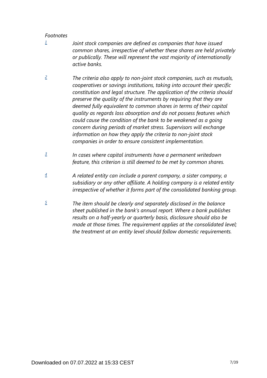### *Footnotes*

- <span id="page-6-0"></span>*Joint stock companies are defined as companies that have issued common shares, irrespective of whether these shares are held privately or publically. These will represent the vast majority of internationally active banks. [1](#page-4-0)*
- <span id="page-6-1"></span>*The criteria also apply to non-joint stock companies, such as mutuals, cooperatives or savings institutions, taking into account their specific constitution and legal structure. The application of the criteria should preserve the quality of the instruments by requiring that they are deemed fully equivalent to common shares in terms of their capital quality as regards loss absorption and do not possess features which could cause the condition of the bank to be weakened as a going concern during periods of market stress. Supervisors will exchange information on how they apply the criteria to non-joint stock companies in order to ensure consistent implementation. [2](#page-4-1)*
- <span id="page-6-2"></span>*In cases where capital instruments have a permanent writedown feature, this criterion is still deemed to be met by common shares. [3](#page-5-0)*
- <span id="page-6-3"></span>*A related entity can include a parent company, a sister company, a subsidiary or any other affiliate. A holding company is a related entity irrespective of whether it forms part of the consolidated banking group. [4](#page-5-1)*
- <span id="page-6-4"></span>*The item should be clearly and separately disclosed in the balance sheet published in the bank's annual report. Where a bank publishes results on a half-yearly or quarterly basis, disclosure should also be made at those times. The requirement applies at the consolidated level; the treatment at an entity level should follow domestic requirements. [5](#page-5-2)*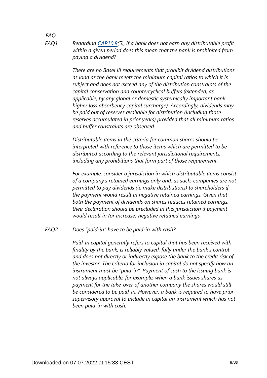#### *FAQ FAQ1*

*Regarding [CAP10.8](https://www.bis.org/basel_framework/chapter/CAP/10.htm?tldate=20250101&inforce=20191215&published=20200605#paragraph_CAP_10_20191215_10_8)(5), if a bank does not earn any distributable profit within a given period does this mean that the bank is prohibited from paying a dividend?*

*There are no Basel III requirements that prohibit dividend distributions as long as the bank meets the minimum capital ratios to which it is subject and does not exceed any of the distribution constraints of the capital conservation and countercyclical buffers (extended, as applicable, by any global or domestic systemically important bank higher loss absorbency capital surcharge). Accordingly, dividends may be paid out of reserves available for distribution (including those reserves accumulated in prior years) provided that all minimum ratios and buffer constraints are observed.*

*Distributable items in the criteria for common shares should be interpreted with reference to those items which are permitted to be distributed according to the relevant jurisdictional requirements, including any prohibitions that form part of those requirement.* 

*For example, consider a jurisdiction in which distributable items consist of a company's retained earnings only and, as such, companies are not permitted to pay dividends (ie make distributions) to shareholders if the payment would result in negative retained earnings. Given that both the payment of dividends on shares reduces retained earnings, their declaration should be precluded in this jurisdiction if payment would result in (or increase) negative retained earnings.*

#### *Does "paid-in" have to be paid-in with cash? FAQ2*

*Paid-in capital generally refers to capital that has been received with finality by the bank, is reliably valued, fully under the bank's control and does not directly or indirectly expose the bank to the credit risk of the investor. The criteria for inclusion in capital do not specify how an instrument must be "paid-in". Payment of cash to the issuing bank is not always applicable, for example, when a bank issues shares as payment for the take-over of another company the shares would still be considered to be paid-in. However, a bank is required to have prior supervisory approval to include in capital an instrument which has not been paid-in with cash.*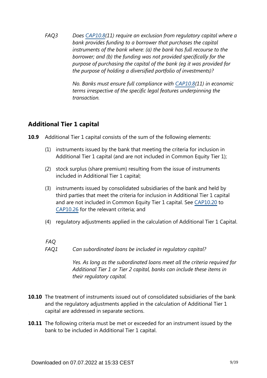*Does [CAP10.8\(](https://www.bis.org/basel_framework/chapter/CAP/10.htm?tldate=20250101&inforce=20191215&published=20200605#paragraph_CAP_10_20191215_10_8)11) require an exclusion from regulatory capital where a bank provides funding to a borrower that purchases the capital instruments of the bank where: (a) the bank has full recourse to the borrower; and (b) the funding was not provided specifically for the purpose of purchasing the capital of the bank (eg it was provided for the purpose of holding a diversified portfolio of investments)? FAQ3*

> *No. Banks must ensure full compliance with [CAP10.8](https://www.bis.org/basel_framework/chapter/CAP/10.htm?tldate=20250101&inforce=20191215&published=20200605#paragraph_CAP_10_20191215_10_8)(11) in economic terms irrespective of the specific legal features underpinning the transaction.*

# **Additional Tier 1 capital**

- **10.9** Additional Tier 1 capital consists of the sum of the following elements:
	- (1) instruments issued by the bank that meeting the criteria for inclusion in Additional Tier 1 capital (and are not included in Common Equity Tier 1);
	- (2) stock surplus (share premium) resulting from the issue of instruments included in Additional Tier 1 capital;
	- (3) instruments issued by consolidated subsidiaries of the bank and held by third parties that meet the criteria for inclusion in Additional Tier 1 capital and are not included in Common Equity Tier 1 capital. See [CAP10.20](https://www.bis.org/basel_framework/chapter/CAP/10.htm?tldate=20250101&inforce=20191215&published=20200605#paragraph_CAP_10_20191215_10_20) to [CAP10.26](https://www.bis.org/basel_framework/chapter/CAP/10.htm?tldate=20250101&inforce=20191215&published=20200605#paragraph_CAP_10_20191215_10_26) for the relevant criteria; and
	- (4) regulatory adjustments applied in the calculation of Additional Tier 1 Capital.

*FAQ*

*Can subordinated loans be included in regulatory capital? FAQ1*

> *Yes. As long as the subordinated loans meet all the criteria required for Additional Tier 1 or Tier 2 capital, banks can include these items in their regulatory capital.*

- **10.10** The treatment of instruments issued out of consolidated subsidiaries of the bank and the regulatory adjustments applied in the calculation of Additional Tier 1 capital are addressed in separate sections.
- **10.11** The following criteria must be met or exceeded for an instrument issued by the bank to be included in Additional Tier 1 capital.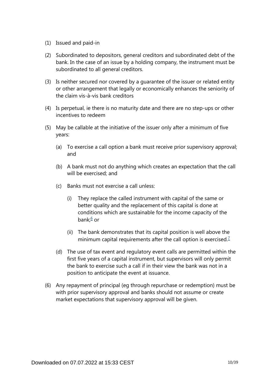- (1) Issued and paid-in
- (2) Subordinated to depositors, general creditors and subordinated debt of the bank. In the case of an issue by a holding company, the instrument must be subordinated to all general creditors.
- (3) Is neither secured nor covered by a guarantee of the issuer or related entity or other arrangement that legally or economically enhances the seniority of the claim vis-à-vis bank creditors
- (4) Is perpetual, ie there is no maturity date and there are no step-ups or other incentives to redeem
- (5) May be callable at the initiative of the issuer only after a minimum of five years:
	- (a) To exercise a call option a bank must receive prior supervisory approval; and
	- (b) A bank must not do anything which creates an expectation that the call will be exercised; and
	- (c) Banks must not exercise a call unless:
		- (i) They replace the called instrument with capital of the same or better quality and the replacement of this capital is done at conditions which are sustainable for the income capacity of the bank;<sup>[6](#page-13-0)</sup> or
		- (ii) The bank demonstrates that its capital position is well above the minimum capital requirements after the call option is exercised.<sup>[7](#page-13-1)</sup>
	- (d) The use of tax event and regulatory event calls are permitted within the first five years of a capital instrument, but supervisors will only permit the bank to exercise such a call if in their view the bank was not in a position to anticipate the event at issuance.
- <span id="page-9-1"></span><span id="page-9-0"></span>(6) Any repayment of principal (eg through repurchase or redemption) must be with prior supervisory approval and banks should not assume or create market expectations that supervisory approval will be given.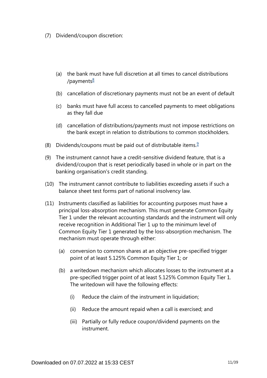- <span id="page-10-0"></span>(7) Dividend/coupon discretion:
	- (a) the bank must have full discretion at all times to cancel distributions /payments $\frac{8}{2}$  $\frac{8}{2}$  $\frac{8}{2}$
	- (b) cancellation of discretionary payments must not be an event of default
	- (c) banks must have full access to cancelled payments to meet obligations as they fall due
	- (d) cancellation of distributions/payments must not impose restrictions on the bank except in relation to distributions to common stockholders.
- <span id="page-10-1"></span>(8) Dividends/coupons must be paid out of distributable items. $\frac{9}{2}$  $\frac{9}{2}$  $\frac{9}{2}$
- (9) The instrument cannot have a credit-sensitive dividend feature, that is a dividend/coupon that is reset periodically based in whole or in part on the banking organisation's credit standing.
- (10) The instrument cannot contribute to liabilities exceeding assets if such a balance sheet test forms part of national insolvency law.
- (11) Instruments classified as liabilities for accounting purposes must have a principal loss-absorption mechanism. This must generate Common Equity Tier 1 under the relevant accounting standards and the instrument will only receive recognition in Additional Tier 1 up to the minimum level of Common Equity Tier 1 generated by the loss-absorption mechanism. The mechanism must operate through either:
	- (a) conversion to common shares at an objective pre-specified trigger point of at least 5.125% Common Equity Tier 1; or
	- (b) a writedown mechanism which allocates losses to the instrument at a pre-specified trigger point of at least 5.125% Common Equity Tier 1. The writedown will have the following effects:
		- (i) Reduce the claim of the instrument in liquidation;
		- (ii) Reduce the amount repaid when a call is exercised; and
		- (iii) Partially or fully reduce coupon/dividend payments on the instrument.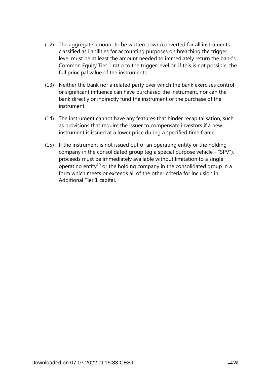- (12) The aggregate amount to be written down/converted for all instruments classified as liabilities for accounting purposes on breaching the trigger level must be at least the amount needed to immediately return the bank's Common Equity Tier 1 ratio to the trigger level or, if this is not possible, the full principal value of the instruments.
- (13) Neither the bank nor a related party over which the bank exercises control or significant influence can have purchased the instrument, nor can the bank directly or indirectly fund the instrument or the purchase of the instrument.
- (14) The instrument cannot have any features that hinder recapitalisation, such as provisions that require the issuer to compensate investors if a new instrument is issued at a lower price during a specified time frame.
- <span id="page-11-0"></span>(15) If the instrument is not issued out of an operating entity or the holding company in the consolidated group (eg a special purpose vehicle - "SPV"), proceeds must be immediately available without limitation to a single operating entity<sup>[10](#page-13-4)</sup> or the holding company in the consolidated group in a form which meets or exceeds all of the other criteria for inclusion in Additional Tier 1 capital.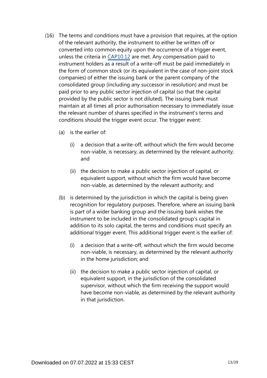- (16) The terms and conditions must have a provision that requires, at the option of the relevant authority, the instrument to either be written off or converted into common equity upon the occurrence of a trigger event, unless the criteria in [CAP10.12](https://www.bis.org/basel_framework/chapter/CAP/10.htm?tldate=20250101&inforce=20191215&published=20200605#paragraph_CAP_10_20191215_10_12) are met. Any compensation paid to instrument holders as a result of a write-off must be paid immediately in the form of common stock (or its equivalent in the case of non-joint stock companies) of either the issuing bank or the parent company of the consolidated group (including any successor in resolution) and must be paid prior to any public sector injection of capital (so that the capital provided by the public sector is not diluted). The issuing bank must maintain at all times all prior authorisation necessary to immediately issue the relevant number of shares specified in the instrument's terms and conditions should the trigger event occur. The trigger event:
	- (a) is the earlier of:
		- (i) a decision that a write-off, without which the firm would become non-viable, is necessary, as determined by the relevant authority; and
		- (ii) the decision to make a public sector injection of capital, or equivalent support, without which the firm would have become non-viable, as determined by the relevant authority; and
	- (b) is determined by the jurisdiction in which the capital is being given recognition for regulatory purposes. Therefore, where an issuing bank is part of a wider banking group and the issuing bank wishes the instrument to be included in the consolidated group's capital in addition to its solo capital, the terms and conditions must specify an additional trigger event. This additional trigger event is the earlier of:
		- (i) a decision that a write-off, without which the firm would become non-viable, is necessary, as determined by the relevant authority in the home jurisdiction; and
		- (ii) the decision to make a public sector injection of capital, or equivalent support, in the jurisdiction of the consolidated supervisor, without which the firm receiving the support would have become non-viable, as determined by the relevant authority in that jurisdiction.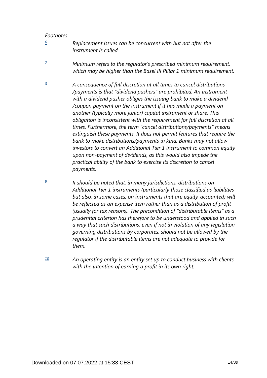#### *Footnotes*

<span id="page-13-3"></span>*[9](#page-10-1)*

- <span id="page-13-0"></span>*Replacement issues can be concurrent with but not after the instrument is called. [6](#page-9-0)*
- <span id="page-13-1"></span>*Minimum refers to the regulator's prescribed minimum requirement, which may be higher than the Basel III Pillar 1 minimum requirement. [7](#page-9-1)*
- <span id="page-13-2"></span>*A consequence of full discretion at all times to cancel distributions /payments is that "dividend pushers" are prohibited. An instrument with a dividend pusher obliges the issuing bank to make a dividend /coupon payment on the instrument if it has made a payment on another (typically more junior) capital instrument or share. This obligation is inconsistent with the requirement for full discretion at all times. Furthermore, the term "cancel distributions/payments" means extinguish these payments. It does not permit features that require the bank to make distributions/payments in kind. Banks may not allow investors to convert an Additional Tier 1 instrument to common equity upon non-payment of dividends, as this would also impede the practical ability of the bank to exercise its discretion to cancel payments. [8](#page-10-0)*

*It should be noted that, in many jurisdictions, distributions on Additional Tier 1 instruments (particularly those classified as liabilities but also, in some cases, on instruments that are equity-accounted) will be reflected as an expense item rather than as a distribution of profit (usually for tax reasons). The precondition of "distributable items" as a prudential criterion has therefore to be understood and applied in such a way that such distributions, even if not in violation of any legislation governing distributions by corporates, should not be allowed by the regulator if the distributable items are not adequate to provide for them.*

<span id="page-13-4"></span>*An operating entity is an entity set up to conduct business with clients with the intention of earning a profit in its own right. [10](#page-11-0)*

Downloaded on 07.07.2022 at 15:33 CEST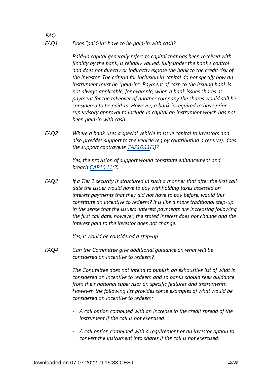#### *Does "paid-in" have to be paid-in with cash? FAQ1*

*FAQ*

*Paid-in capital generally refers to capital that has been received with finality by the bank, is reliably valued, fully under the bank's control and does not directly or indirectly expose the bank to the credit risk of the investor. The criteria for inclusion in capital do not specify how an instrument must be "paid-in". Payment of cash to the issuing bank is not always applicable, for example, when a bank issues shares as payment for the takeover of another company the shares would still be considered to be paid-in. However, a bank is required to have prior supervisory approval to include in capital an instrument which has not been paid-in with cash.*

*Where a bank uses a special vehicle to issue capital to investors and also provides support to the vehicle (eg by contributing a reserve), does the support contravene [CAP10.11\(](https://www.bis.org/basel_framework/chapter/CAP/10.htm?tldate=20250101&inforce=20191215&published=20200605#paragraph_CAP_10_20191215_10_11)3)? FAQ2*

> *Yes, the provision of support would constitute enhancement and breach [CAP10.11\(](https://www.bis.org/basel_framework/chapter/CAP/10.htm?tldate=20250101&inforce=20191215&published=20200605#paragraph_CAP_10_20191215_10_11)3).*

*If a Tier 1 security is structured in such a manner that after the first call date the issuer would have to pay withholding taxes assessed on interest payments that they did not have to pay before, would this constitute an incentive to redeem? It is like a more traditional step-up in the sense that the issuers' interest payments are increasing following the first call date; however, the stated interest does not change and the interest paid to the investor does not change. FAQ3*

*Yes, it would be considered a step-up.*

*Can the Committee give additional guidance on what will be considered an incentive to redeem? FAQ4*

> *The Committee does not intend to publish an exhaustive list of what is considered an incentive to redeem and so banks should seek guidance from their national supervisor on specific features and instruments. However, the following list provides some examples of what would be considered an incentive to redeem:*

- *- A call option combined with an increase in the credit spread of the instrument if the call is not exercised.*
- *- A call option combined with a requirement or an investor option to convert the instrument into shares if the call is not exercised.*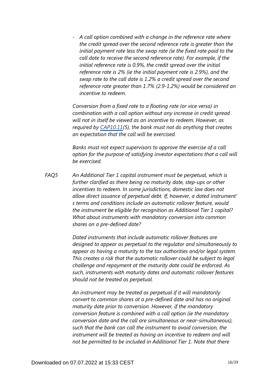*- A call option combined with a change in the reference rate where the credit spread over the second reference rate is greater than the initial payment rate less the swap rate (ie the fixed rate paid to the call date to receive the second reference rate). For example, if the initial reference rate is 0.9%, the credit spread over the initial reference rate is 2% (ie the initial payment rate is 2.9%), and the swap rate to the call date is 1.2% a credit spread over the second reference rate greater than 1.7% (2.9-1.2%) would be considered an incentive to redeem.*

*Conversion from a fixed rate to a floating rate (or vice versa) in combination with a call option without any increase in credit spread will not in itself be viewed as an incentive to redeem. However, as required by [CAP10.11](https://www.bis.org/basel_framework/chapter/CAP/10.htm?tldate=20250101&inforce=20191215&published=20200605#paragraph_CAP_10_20191215_10_11)(5), the bank must not do anything that creates an expectation that the call will be exercised.*

*Banks must not expect supervisors to approve the exercise of a call option for the purpose of satisfying investor expectations that a call will be exercised.*

*An Additional Tier 1 capital instrument must be perpetual, which is further clarified as there being no maturity date, step-ups or other incentives to redeem. In some jurisdictions, domestic law does not allow direct issuance of perpetual debt. If, however, a dated instrument' s terms and conditions include an automatic rollover feature, would the instrument be eligible for recognition as Additional Tier 1 capital? What about instruments with mandatory conversion into common shares on a pre-defined date? FAQ5*

> *Dated instruments that include automatic rollover features are designed to appear as perpetual to the regulator and simultaneously to appear as having a maturity to the tax authorities and/or legal system. This creates a risk that the automatic rollover could be subject to legal challenge and repayment at the maturity date could be enforced. As such, instruments with maturity dates and automatic rollover features should not be treated as perpetual.*

*An instrument may be treated as perpetual if it will mandatorily convert to common shares at a pre-defined date and has no original maturity date prior to conversion. However, if the mandatory conversion feature is combined with a call option (ie the mandatory conversion date and the call are simultaneous or near-simultaneous), such that the bank can call the instrument to avoid conversion, the instrument will be treated as having an incentive to redeem and will not be permitted to be included in Additional Tier 1. Note that there*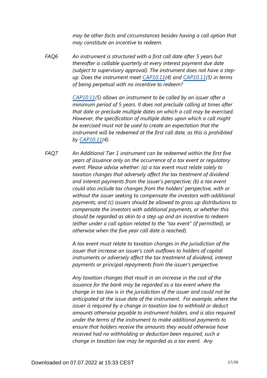*may be other facts and circumstances besides having a call option that may constitute an incentive to redeem.*

*An instrument is structured with a first call date after 5 years but thereafter is callable quarterly at every interest payment due date (subject to supervisory approval). The instrument does not have a stepup. Does the instrument meet [CAP10.11](https://www.bis.org/basel_framework/chapter/CAP/10.htm?tldate=20250101&inforce=20191215&published=20200605#paragraph_CAP_10_20191215_10_11)(4) and [CAP10.11](https://www.bis.org/basel_framework/chapter/CAP/10.htm?tldate=20250101&inforce=20191215&published=20200605#paragraph_CAP_10_20191215_10_11)(5) in terms of being perpetual with no incentive to redeem? FAQ6*

> *[CAP10.11](https://www.bis.org/basel_framework/chapter/CAP/10.htm?tldate=20250101&inforce=20191215&published=20200605#paragraph_CAP_10_20191215_10_11)(5) allows an instrument to be called by an issuer after a minimum period of 5 years. It does not preclude calling at times after that date or preclude multiple dates on which a call may be exercised. However, the specification of multiple dates upon which a call might be exercised must not be used to create an expectation that the instrument will be redeemed at the first call date, as this is prohibited by [CAP10.11\(](https://www.bis.org/basel_framework/chapter/CAP/10.htm?tldate=20250101&inforce=20191215&published=20200605#paragraph_CAP_10_20191215_10_11)4).*

*An Additional Tier 1 instrument can be redeemed within the first five years of issuance only on the occurrence of a tax event or regulatory event. Please advise whether: (a) a tax event must relate solely to taxation changes that adversely affect the tax treatment of dividend and interest payments from the issuer's perspective; (b) a tax event could also include tax changes from the holders' perspective, with or without the issuer seeking to compensate the investors with additional payments; and (c) issuers should be allowed to gross up distributions to compensate the investors with additional payments, or whether this should be regarded as akin to a step up and an incentive to redeem (either under a call option related to the "tax event" (if permitted), or otherwise when the five year call date is reached). FAQ7*

> *A tax event must relate to taxation changes in the jurisdiction of the issuer that increase an issuer's cash outflows to holders of capital instruments or adversely affect the tax treatment of dividend, interest payments or principal repayments from the issuer's perspective.*

*Any taxation changes that result in an increase in the cost of the issuance for the bank may be regarded as a tax event where the change in tax law is in the jurisdiction of the issuer and could not be anticipated at the issue date of the instrument. For example, where the issuer is required by a change in taxation law to withhold or deduct amounts otherwise payable to instrument holders, and is also required under the terms of the instrument to make additional payments to ensure that holders receive the amounts they would otherwise have received had no withholding or deduction been required, such a change in taxation law may be regarded as a tax event. Any*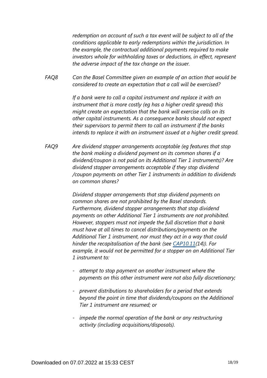*redemption on account of such a tax event will be subject to all of the conditions applicable to early redemptions within the jurisdiction. In the example, the contractual additional payments required to make investors whole for withholding taxes or deductions, in effect, represent the adverse impact of the tax change on the issuer.*

*Can the Basel Committee given an example of an action that would be considered to create an expectation that a call will be exercised? FAQ8*

> *If a bank were to call a capital instrument and replace it with an instrument that is more costly (eg has a higher credit spread) this might create an expectation that the bank will exercise calls on its other capital instruments. As a consequence banks should not expect their supervisors to permit them to call an instrument if the banks intends to replace it with an instrument issued at a higher credit spread.*

*Are dividend stopper arrangements acceptable (eg features that stop the bank making a dividend payment on its common shares if a dividend/coupon is not paid on its Additional Tier 1 instruments)? Are dividend stopper arrangements acceptable if they stop dividend /coupon payments on other Tier 1 instruments in addition to dividends on common shares? FAQ9*

> *Dividend stopper arrangements that stop dividend payments on common shares are not prohibited by the Basel standards. Furthermore, dividend stopper arrangements that stop dividend payments on other Additional Tier 1 instruments are not prohibited. However, stoppers must not impede the full discretion that a bank must have at all times to cancel distributions/payments on the Additional Tier 1 instrument, nor must they act in a way that could hinder the recapitalisation of the bank (see [CAP10.11](https://www.bis.org/basel_framework/chapter/CAP/10.htm?tldate=20250101&inforce=20191215&published=20200605#paragraph_CAP_10_20191215_10_11)(14)). For example, it would not be permitted for a stopper on an Additional Tier 1 instrument to:*

- *- attempt to stop payment on another instrument where the payments on this other instrument were not also fully discretionary;*
- *- prevent distributions to shareholders for a period that extends beyond the point in time that dividends/coupons on the Additional Tier 1 instrument are resumed; or*
- *- impede the normal operation of the bank or any restructuring activity (including acquisitions/disposals).*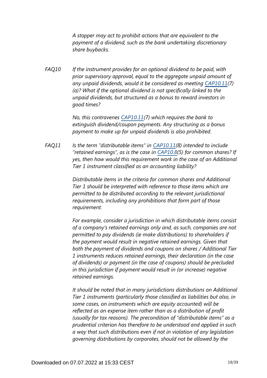*A stopper may act to prohibit actions that are equivalent to the payment of a dividend, such as the bank undertaking discretionary share buybacks.*

*If the instrument provides for an optional dividend to be paid, with prior supervisory approval, equal to the aggregate unpaid amount of any unpaid dividends, would it be considered as meeting [CAP10.11](https://www.bis.org/basel_framework/chapter/CAP/10.htm?tldate=20250101&inforce=20191215&published=20200605#paragraph_CAP_10_20191215_10_11)(7) (a)? What if the optional dividend is not specifically linked to the unpaid dividends, but structured as a bonus to reward investors in good times? FAQ10*

> *No, this contravenes [CAP10.11](https://www.bis.org/basel_framework/chapter/CAP/10.htm?tldate=20250101&inforce=20191215&published=20200605#paragraph_CAP_10_20191215_10_11)(7) which requires the bank to extinguish dividend/coupon payments. Any structuring as a bonus payment to make up for unpaid dividends is also prohibited.*

*Is the term "distributable items" in [CAP10.11\(](https://www.bis.org/basel_framework/chapter/CAP/10.htm?tldate=20250101&inforce=20191215&published=20200605#paragraph_CAP_10_20191215_10_11)8) intended to include "retained earnings", as is the case in [CAP10.8](https://www.bis.org/basel_framework/chapter/CAP/10.htm?tldate=20250101&inforce=20191215&published=20200605#paragraph_CAP_10_20191215_10_8)(5) for common shares? If yes, then how would this requirement work in the case of an Additional Tier 1 instrument classified as an accounting liability? FAQ11*

> *Distributable items in the criteria for common shares and Additional Tier 1 should be interpreted with reference to those items which are permitted to be distributed according to the relevant jurisdictional requirements, including any prohibitions that form part of those requirement.*

*For example, consider a jurisdiction in which distributable items consist of a company's retained earnings only and, as such, companies are not permitted to pay dividends (ie make distributions) to shareholders if the payment would result in negative retained earnings. Given that both the payment of dividends and coupons on shares / Additional Tier 1 instruments reduces retained earnings, their declaration (in the case of dividends) or payment (in the case of coupons) should be precluded in this jurisdiction if payment would result in (or increase) negative retained earnings.*

*It should be noted that in many jurisdictions distributions on Additional Tier 1 instruments (particularly those classified as liabilities but also, in some cases, on instruments which are equity accounted) will be reflected as an expense item rather than as a distribution of profit (usually for tax reasons). The precondition of "distributable items" as a prudential criterion has therefore to be understood and applied in such a way that such distributions even if not in violation of any legislation governing distributions by corporates, should not be allowed by the*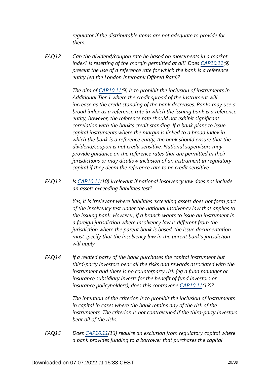*regulator if the distributable items are not adequate to provide for them.*

*Can the dividend/coupon rate be based on movements in a market index? Is resetting of the margin permitted at all? Does [CAP10.11](https://www.bis.org/basel_framework/chapter/CAP/10.htm?tldate=20250101&inforce=20191215&published=20200605#paragraph_CAP_10_20191215_10_11)(9) prevent the use of a reference rate for which the bank is a reference entity (eg the London Interbank Offered Rate)? FAQ12*

> *The aim of [CAP10.11\(](https://www.bis.org/basel_framework/chapter/CAP/10.htm?tldate=20250101&inforce=20191215&published=20200605#paragraph_CAP_10_20191215_10_11)9) is to prohibit the inclusion of instruments in Additional Tier 1 where the credit spread of the instrument will increase as the credit standing of the bank decreases. Banks may use a broad index as a reference rate in which the issuing bank is a reference entity, however, the reference rate should not exhibit significant correlation with the bank's credit standing. If a bank plans to issue capital instruments where the margin is linked to a broad index in which the bank is a reference entity, the bank should ensure that the dividend/coupon is not credit sensitive. National supervisors may provide guidance on the reference rates that are permitted in their jurisdictions or may disallow inclusion of an instrument in regulatory capital if they deem the reference rate to be credit sensitive.*

*Is [CAP10.11\(](https://www.bis.org/basel_framework/chapter/CAP/10.htm?tldate=20250101&inforce=20191215&published=20200605#paragraph_CAP_10_20191215_10_11)10) irrelevant if national insolvency law does not include an assets exceeding liabilities test? FAQ13*

> *Yes, it is irrelevant where liabilities exceeding assets does not form part of the insolvency test under the national insolvency law that applies to the issuing bank. However, if a branch wants to issue an instrument in a foreign jurisdiction where insolvency law is different from the jurisdiction where the parent bank is based, the issue documentation must specify that the insolvency law in the parent bank's jurisdiction will apply.*

*If a related party of the bank purchases the capital instrument but third-party investors bear all the risks and rewards associated with the instrument and there is no counterparty risk (eg a fund manager or insurance subsidiary invests for the benefit of fund investors or insurance policyholders), does this contravene [CAP10.11](https://www.bis.org/basel_framework/chapter/CAP/10.htm?tldate=20250101&inforce=20191215&published=20200605#paragraph_CAP_10_20191215_10_11)(13)? FAQ14*

> *The intention of the criterion is to prohibit the inclusion of instruments in capital in cases where the bank retains any of the risk of the instruments. The criterion is not contravened if the third-party investors bear all of the risks.*

*Does [CAP10.11](https://www.bis.org/basel_framework/chapter/CAP/10.htm?tldate=20250101&inforce=20191215&published=20200605#paragraph_CAP_10_20191215_10_11)(13) require an exclusion from regulatory capital where a bank provides funding to a borrower that purchases the capital FAQ15*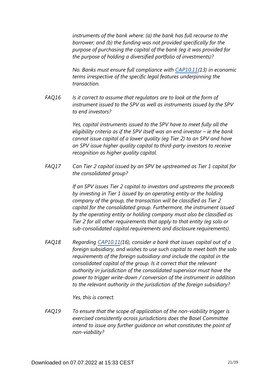*instruments of the bank where: (a) the bank has full recourse to the borrower; and (b) the funding was not provided specifically for the purpose of purchasing the capital of the bank (eg it was provided for the purpose of holding a diversified portfolio of investments)?*

*No. Banks must ensure full compliance with [CAP10.11](https://www.bis.org/basel_framework/chapter/CAP/10.htm?tldate=20250101&inforce=20191215&published=20200605#paragraph_CAP_10_20191215_10_11)(13) in economic terms irrespective of the specific legal features underpinning the transaction.*

*Is it correct to assume that regulators are to look at the form of instrument issued to the SPV as well as instruments issued by the SPV to end investors? FAQ16*

> *Yes, capital instruments issued to the SPV have to meet fully all the eligibility criteria as if the SPV itself was an end investor – ie the bank cannot issue capital of a lower quality (eg Tier 2) to an SPV and have an SPV issue higher quality capital to third-party investors to receive recognition as higher quality capital.*

*Can Tier 2 capital issued by an SPV be upstreamed as Tier 1 capital for the consolidated group? FAQ17*

> *If an SPV issues Tier 2 capital to investors and upstreams the proceeds by investing in Tier 1 issued by an operating entity or the holding company of the group, the transaction will be classified as Tier 2 capital for the consolidated group. Furthermore, the instrument issued by the operating entity or holding company must also be classified as Tier 2 for all other requirements that apply to that entity (eg solo or sub-consolidated capital requirements and disclosure requirements).*

*Regarding [CAP10.11](https://www.bis.org/basel_framework/chapter/CAP/10.htm?tldate=20250101&inforce=20191215&published=20200605#paragraph_CAP_10_20191215_10_11)(16), consider a bank that issues capital out of a foreign subsidiary, and wishes to use such capital to meet both the solo requirements of the foreign subsidiary and include the capital in the consolidated capital of the group. Is it correct that the relevant authority in jurisdiction of the consolidated supervisor must have the power to trigger write-down / conversion of the instrument in addition to the relevant authority in the jurisdiction of the foreign subsidiary? FAQ18*

*Yes, this is correct.*

*To ensure that the scope of application of the non-viability trigger is exercised consistently across jurisdictions does the Basel Committee intend to issue any further guidance on what constitutes the point of non-viability? FAQ19*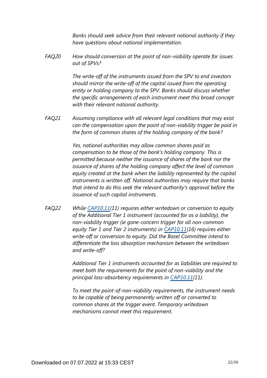*Banks should seek advice from their relevant national authority if they have questions about national implementation.*

*How should conversion at the point of non-viability operate for issues out of SPVs? FAQ20*

> *The write-off of the instruments issued from the SPV to end investors should mirror the write-off of the capital issued from the operating entity or holding company to the SPV. Banks should discuss whether the specific arrangements of each instrument meet this broad concept with their relevant national authority.*

*Assuming compliance with all relevant legal conditions that may exist can the compensation upon the point of non-viability trigger be paid in the form of common shares of the holding company of the bank? FAQ21*

> *Yes, national authorities may allow common shares paid as compensation to be those of the bank's holding company. This is permitted because neither the issuance of shares of the bank nor the issuance of shares of the holding company affect the level of common equity created at the bank when the liability represented by the capital instruments is written off. National authorities may require that banks that intend to do this seek the relevant authority's approval before the issuance of such capital instruments.*

*While [CAP10.11](https://www.bis.org/basel_framework/chapter/CAP/10.htm?tldate=20250101&inforce=20191215&published=20200605#paragraph_CAP_10_20191215_10_11)(11) requires either writedown or conversion to equity of the Additional Tier 1 instrument (accounted for as a liability), the non-viability trigger (ie gone-concern trigger for all non-common equity Tier 1 and Tier 2 instruments) in [CAP10.11](https://www.bis.org/basel_framework/chapter/CAP/10.htm?tldate=20250101&inforce=20191215&published=20200605#paragraph_CAP_10_20191215_10_11)(16) requires either write-off or conversion to equity. Did the Basel Committee intend to differentiate the loss absorption mechanism between the writedown and write-off? FAQ22*

> *Additional Tier 1 instruments accounted for as liabilities are required to meet both the requirements for the point of non-viability and the principal loss-absorbency requirements in [CAP10.11](https://www.bis.org/basel_framework/chapter/CAP/10.htm?tldate=20250101&inforce=20191215&published=20200605#paragraph_CAP_10_20191215_10_11)(11).*

*To meet the point-of-non-viability requirements, the instrument needs to be capable of being permanently written off or converted to common shares at the trigger event. Temporary writedown mechanisms cannot meet this requirement.*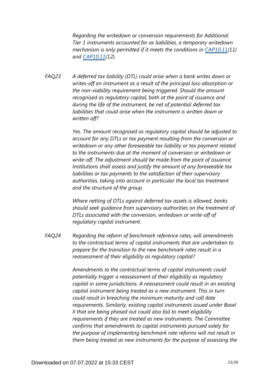*Regarding the writedown or conversion requirements for Additional Tier 1 instruments accounted for as liabilities, a temporary writedown mechanism is only permitted if it meets the conditions in [CAP10.11\(](https://www.bis.org/basel_framework/chapter/CAP/10.htm?tldate=20250101&inforce=20191215&published=20200605#paragraph_CAP_10_20191215_10_11)11) and [CAP10.11](https://www.bis.org/basel_framework/chapter/CAP/10.htm?tldate=20250101&inforce=20191215&published=20200605#paragraph_CAP_10_20191215_10_11)(12).*

*A deferred tax liability (DTL) could arise when a bank writes down or writes-off an instrument as a result of the principal loss-absorption or the non-viability requirement being triggered. Should the amount recognised as regulatory capital, both at the point of issuance and during the life of the instrument, be net of potential deferred tax liabilities that could arise when the instrument is written down or written off? FAQ23*

> *Yes. The amount recognised as regulatory capital should be adjusted to account for any DTLs or tax payment resulting from the conversion or writedown or any other foreseeable tax liability or tax payment related to the instruments due at the moment of conversion or writedown or write-off. The adjustment should be made from the point of issuance. Institutions shall assess and justify the amount of any foreseeable tax liabilities or tax payments to the satisfaction of their supervisory authorities, taking into account in particular the local tax treatment and the structure of the group.*

> *Where netting of DTLs against deferred tax assets is allowed, banks should seek guidance from supervisory authorities on the treatment of DTLs associated with the conversion, writedown or write-off of regulatory capital instrument.*

*Regarding the reform of benchmark reference rates, will amendments to the contractual terms of capital instruments that are undertaken to prepare for the transition to the new benchmark rates result in a reassessment of their eligibility as regulatory capital? FAQ24*

> *Amendments to the contractual terms of capital instruments could potentially trigger a reassessment of their eligibility as regulatory capital in some jurisdictions. A reassessment could result in an existing capital instrument being treated as a new instrument. This in turn could result in breaching the minimum maturity and call date requirements. Similarly, existing capital instruments issued under Basel II that are being phased out could also fail to meet eligibility requirements if they are treated as new instruments. The Committee confirms that amendments to capital instruments pursued solely for the purpose of implementing benchmark rate reforms will not result in them being treated as new instruments for the purpose of assessing the*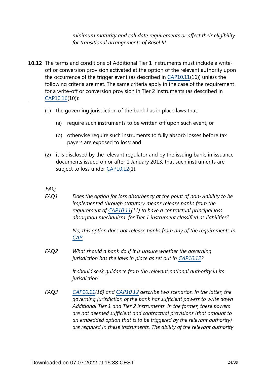*minimum maturity and call date requirements or affect their eligibility for transitional arrangements of Basel III.*

- **10.12** The terms and conditions of Additional Tier 1 instruments must include a writeoff or conversion provision activated at the option of the relevant authority upon the occurrence of the trigger event (as described in [CAP10.11\(](https://www.bis.org/basel_framework/chapter/CAP/10.htm?tldate=20250101&inforce=20191215&published=20200605#paragraph_CAP_10_20191215_10_11)16)) unless the following criteria are met. The same criteria apply in the case of the requirement for a write-off or conversion provision in Tier 2 instruments (as described in [CAP10.16\(](https://www.bis.org/basel_framework/chapter/CAP/10.htm?tldate=20250101&inforce=20191215&published=20200605#paragraph_CAP_10_20191215_10_16)10)):
	- (1) the governing jurisdiction of the bank has in place laws that:
		- (a) require such instruments to be written off upon such event, or
		- (b) otherwise require such instruments to fully absorb losses before tax payers are exposed to loss; and
	- (2) it is disclosed by the relevant regulator and by the issuing bank, in issuance documents issued on or after 1 January 2013, that such instruments are subject to loss under [CAP10.12](https://www.bis.org/basel_framework/chapter/CAP/10.htm?tldate=20250101&inforce=20191215&published=20200605#paragraph_CAP_10_20191215_10_12)(1).

## *FAQ*

*Does the option for loss absorbency at the point of non-viability to be implemented through statutory means release banks from the requirement of [CAP10.11](https://www.bis.org/basel_framework/chapter/CAP/10.htm?tldate=20250101&inforce=20191215&published=20200605#paragraph_CAP_10_20191215_10_11)(11) to have a contractual principal loss absorption mechanism for Tier 1 instrument classified as liabilities? FAQ1*

> *No, this option does not release banks from any of the requirements in [CAP.](https://www.bis.org/basel_framework/standard/CAP.htm?tldate=20250101)*

*What should a bank do if it is unsure whether the governing jurisdiction has the laws in place as set out in [CAP10.12?](https://www.bis.org/basel_framework/chapter/CAP/10.htm?tldate=20250101&inforce=20191215&published=20200605#paragraph_CAP_10_20191215_10_12) FAQ2*

> *It should seek guidance from the relevant national authority in its jurisdiction.*

*[CAP10.11](https://www.bis.org/basel_framework/chapter/CAP/10.htm?tldate=20250101&inforce=20191215&published=20200605#paragraph_CAP_10_20191215_10_11)(16) and [CAP10.12](https://www.bis.org/basel_framework/chapter/CAP/10.htm?tldate=20250101&inforce=20191215&published=20200605#paragraph_CAP_10_20191215_10_12) describe two scenarios. In the latter, the governing jurisdiction of the bank has sufficient powers to write down Additional Tier 1 and Tier 2 instruments. In the former, these powers are not deemed sufficient and contractual provisions (that amount to an embedded option that is to be triggered by the relevant authority) are required in these instruments. The ability of the relevant authority FAQ3*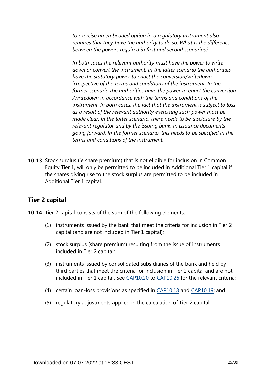*to exercise an embedded option in a regulatory instrument also requires that they have the authority to do so. What is the difference between the powers required in first and second scenarios?*

*In both cases the relevant authority must have the power to write down or convert the instrument. In the latter scenario the authorities have the statutory power to enact the conversion/writedown irrespective of the terms and conditions of the instrument. In the former scenario the authorities have the power to enact the conversion /writedown in accordance with the terms and conditions of the instrument. In both cases, the fact that the instrument is subject to loss as a result of the relevant authority exercising such power must be made clear. In the latter scenario, there needs to be disclosure by the relevant regulator and by the issuing bank, in issuance documents going forward. In the former scenario, this needs to be specified in the terms and conditions of the instrument.*

**10.13** Stock surplus (ie share premium) that is not eligible for inclusion in Common Equity Tier 1, will only be permitted to be included in Additional Tier 1 capital if the shares giving rise to the stock surplus are permitted to be included in Additional Tier 1 capital.

# **Tier 2 capital**

- **10.14** Tier 2 capital consists of the sum of the following elements:
	- (1) instruments issued by the bank that meet the criteria for inclusion in Tier 2 capital (and are not included in Tier 1 capital);
	- (2) stock surplus (share premium) resulting from the issue of instruments included in Tier 2 capital;
	- (3) instruments issued by consolidated subsidiaries of the bank and held by third parties that meet the criteria for inclusion in Tier 2 capital and are not included in Tier 1 capital. See [CAP10.20](https://www.bis.org/basel_framework/chapter/CAP/10.htm?tldate=20250101&inforce=20191215&published=20200605#paragraph_CAP_10_20191215_10_20) to [CAP10.26](https://www.bis.org/basel_framework/chapter/CAP/10.htm?tldate=20250101&inforce=20191215&published=20200605#paragraph_CAP_10_20191215_10_26) for the relevant criteria;
	- (4) certain loan-loss provisions as specified in [CAP10.18](https://www.bis.org/basel_framework/chapter/CAP/10.htm?tldate=20250101&inforce=20191215&published=20200605#paragraph_CAP_10_20191215_10_18) and [CAP10.19;](https://www.bis.org/basel_framework/chapter/CAP/10.htm?tldate=20250101&inforce=20191215&published=20200605#paragraph_CAP_10_20191215_10_19) and
	- (5) regulatory adjustments applied in the calculation of Tier 2 capital.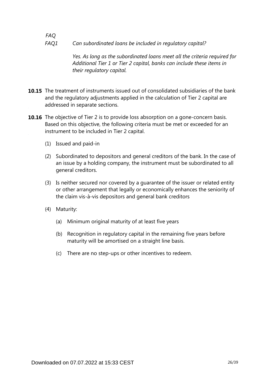#### *FAQ Can subordinated loans be included in regulatory capital? FAQ1*

*Yes. As long as the subordinated loans meet all the criteria required for Additional Tier 1 or Tier 2 capital, banks can include these items in their regulatory capital.*

- **10.15** The treatment of instruments issued out of consolidated subsidiaries of the bank and the regulatory adjustments applied in the calculation of Tier 2 capital are addressed in separate sections.
- **10.16** The objective of Tier 2 is to provide loss absorption on a gone-concern basis. Based on this objective, the following criteria must be met or exceeded for an instrument to be included in Tier 2 capital.
	- (1) Issued and paid-in
	- (2) Subordinated to depositors and general creditors of the bank. In the case of an issue by a holding company, the instrument must be subordinated to all general creditors.
	- (3) Is neither secured nor covered by a guarantee of the issuer or related entity or other arrangement that legally or economically enhances the seniority of the claim vis-à-vis depositors and general bank creditors
	- (4) Maturity:
		- (a) Minimum original maturity of at least five years
		- (b) Recognition in regulatory capital in the remaining five years before maturity will be amortised on a straight line basis.
		- (c) There are no step-ups or other incentives to redeem.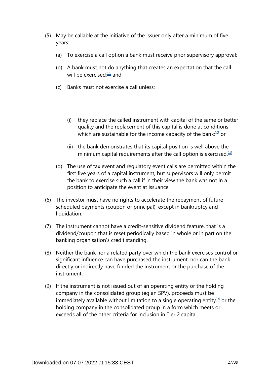- <span id="page-26-0"></span>(5) May be callable at the initiative of the issuer only after a minimum of five years:
	- (a) To exercise a call option a bank must receive prior supervisory approval;
	- (b) A bank must not do anything that creates an expectation that the call will be exercised: $11$  and
	- (c) Banks must not exercise a call unless:
		- (i) they replace the called instrument with capital of the same or better quality and the replacement of this capital is done at conditions which are sustainable for the income capacity of the bank: $12$  or
		- (ii) the bank demonstrates that its capital position is well above the minimum capital requirements after the call option is exercised. $13$
	- (d) The use of tax event and regulatory event calls are permitted within the first five years of a capital instrument, but supervisors will only permit the bank to exercise such a call if in their view the bank was not in a position to anticipate the event at issuance.
- <span id="page-26-2"></span><span id="page-26-1"></span>(6) The investor must have no rights to accelerate the repayment of future scheduled payments (coupon or principal), except in bankruptcy and liquidation.
- (7) The instrument cannot have a credit-sensitive dividend feature, that is a dividend/coupon that is reset periodically based in whole or in part on the banking organisation's credit standing.
- (8) Neither the bank nor a related party over which the bank exercises control or significant influence can have purchased the instrument, nor can the bank directly or indirectly have funded the instrument or the purchase of the instrument.
- <span id="page-26-3"></span>(9) If the instrument is not issued out of an operating entity or the holding company in the consolidated group (eg an SPV), proceeds must be immediately available without limitation to a single operating entity $\frac{14}{1}$  $\frac{14}{1}$  $\frac{14}{1}$  or the holding company in the consolidated group in a form which meets or exceeds all of the other criteria for inclusion in Tier 2 capital.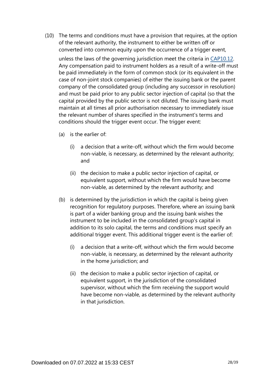- (10) The terms and conditions must have a provision that requires, at the option of the relevant authority, the instrument to either be written off or converted into common equity upon the occurrence of a trigger event, unless the laws of the governing jurisdiction meet the criteria in [CAP10.12.](https://www.bis.org/basel_framework/chapter/CAP/10.htm?tldate=20250101&inforce=20191215&published=20200605#paragraph_CAP_10_20191215_10_12) Any compensation paid to instrument holders as a result of a write-off must be paid immediately in the form of common stock (or its equivalent in the case of non-joint stock companies) of either the issuing bank or the parent company of the consolidated group (including any successor in resolution) and must be paid prior to any public sector injection of capital (so that the capital provided by the public sector is not diluted. The issuing bank must maintain at all times all prior authorisation necessary to immediately issue the relevant number of shares specified in the instrument's terms and conditions should the trigger event occur. The trigger event:
	- (a) is the earlier of:
		- (i) a decision that a write-off, without which the firm would become non-viable, is necessary, as determined by the relevant authority; and
		- (ii) the decision to make a public sector injection of capital, or equivalent support, without which the firm would have become non-viable, as determined by the relevant authority; and
	- (b) is determined by the jurisdiction in which the capital is being given recognition for regulatory purposes. Therefore, where an issuing bank is part of a wider banking group and the issuing bank wishes the instrument to be included in the consolidated group's capital in addition to its solo capital, the terms and conditions must specify an additional trigger event. This additional trigger event is the earlier of:
		- (i) a decision that a write-off, without which the firm would become non-viable, is necessary, as determined by the relevant authority in the home jurisdiction; and
		- (ii) the decision to make a public sector injection of capital, or equivalent support, in the jurisdiction of the consolidated supervisor, without which the firm receiving the support would have become non-viable, as determined by the relevant authority in that jurisdiction.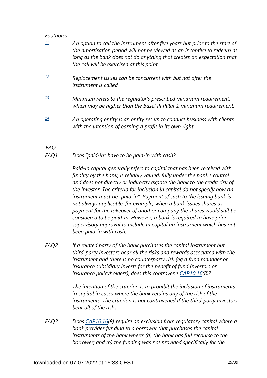### *Footnotes*

<span id="page-28-2"></span><span id="page-28-1"></span><span id="page-28-0"></span>

| 11              | An option to call the instrument after five years but prior to the start of<br>the amortisation period will not be viewed as an incentive to redeem as<br>long as the bank does not do anything that creates an expectation that<br>the call will be exercised at this point. |
|-----------------|-------------------------------------------------------------------------------------------------------------------------------------------------------------------------------------------------------------------------------------------------------------------------------|
| $\overline{12}$ | Replacement issues can be concurrent with but not after the<br>instrument is called.                                                                                                                                                                                          |
| $\overline{13}$ | Minimum refers to the regulator's prescribed minimum requirement,<br>which may be higher than the Basel III Pillar 1 minimum requirement.                                                                                                                                     |
| 14              | An operating entity is an entity set up to conduct business with clients<br>with the intention of earning a profit in its own right.                                                                                                                                          |
| FAQ<br>FAQ1     | Does "paid-in" have to be paid-in with cash?                                                                                                                                                                                                                                  |

<span id="page-28-3"></span>*Paid-in capital generally refers to capital that has been received with finality by the bank, is reliably valued, fully under the bank's control and does not directly or indirectly expose the bank to the credit risk of the investor. The criteria for inclusion in capital do not specify how an instrument must be "paid-in". Payment of cash to the issuing bank is not always applicable, for example, when a bank issues shares as payment for the takeover of another company the shares would still be considered to be paid-in. However, a bank is required to have prior supervisory approval to include in capital an instrument which has not been paid-in with cash.*

*If a related party of the bank purchases the capital instrument but third-party investors bear all the risks and rewards associated with the instrument and there is no counterparty risk (eg a fund manager or insurance subsidiary invests for the benefit of fund investors or insurance policyholders), does this contravene [CAP10.16](https://www.bis.org/basel_framework/chapter/CAP/10.htm?tldate=20250101&inforce=20191215&published=20200605#paragraph_CAP_10_20191215_10_16)(8)? FAQ2*

> *The intention of the criterion is to prohibit the inclusion of instruments in capital in cases where the bank retains any of the risk of the instruments. The criterion is not contravened if the third-party investors bear all of the risks.*

*Does [CAP10.16](https://www.bis.org/basel_framework/chapter/CAP/10.htm?tldate=20250101&inforce=20191215&published=20200605#paragraph_CAP_10_20191215_10_16)(8) require an exclusion from regulatory capital where a bank provides funding to a borrower that purchases the capital instruments of the bank where: (a) the bank has full recourse to the borrower; and (b) the funding was not provided specifically for the FAQ3*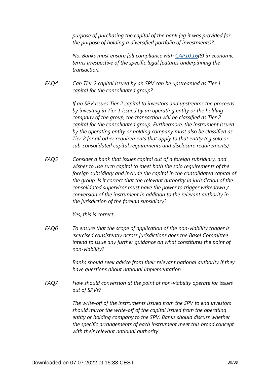*purpose of purchasing the capital of the bank (eg it was provided for the purpose of holding a diversified portfolio of investments)?*

*No. Banks must ensure full compliance with [CAP10.16](https://www.bis.org/basel_framework/chapter/CAP/10.htm?tldate=20250101&inforce=20191215&published=20200605#paragraph_CAP_10_20191215_10_16)(8) in economic terms irrespective of the specific legal features underpinning the transaction.*

*Can Tier 2 capital issued by an SPV can be upstreamed as Tier 1 capital for the consolidated group? FAQ4*

> *If an SPV issues Tier 2 capital to investors and upstreams the proceeds by investing in Tier 1 issued by an operating entity or the holding company of the group, the transaction will be classified as Tier 2 capital for the consolidated group. Furthermore, the instrument issued by the operating entity or holding company must also be classified as Tier 2 for all other requirements that apply to that entity (eg solo or sub-consolidated capital requirements and disclosure requirements).*

*Consider a bank that issues capital out of a foreign subsidiary, and wishes to use such capital to meet both the solo requirements of the foreign subsidiary and include the capital in the consolidated capital of the group. Is it correct that the relevant authority in jurisdiction of the consolidated supervisor must have the power to trigger writedown / conversion of the instrument in addition to the relevant authority in the jurisdiction of the foreign subsidiary? FAQ5*

*Yes, this is correct.*

*To ensure that the scope of application of the non-viability trigger is exercised consistently across jurisdictions does the Basel Committee intend to issue any further guidance on what constitutes the point of non-viability? FAQ6*

> *Banks should seek advice from their relevant national authority if they have questions about national implementation.*

*How should conversion at the point of non-viability operate for issues out of SPVs? FAQ7*

> *The write-off of the instruments issued from the SPV to end investors should mirror the write-off of the capital issued from the operating entity or holding company to the SPV. Banks should discuss whether the specific arrangements of each instrument meet this broad concept with their relevant national authority.*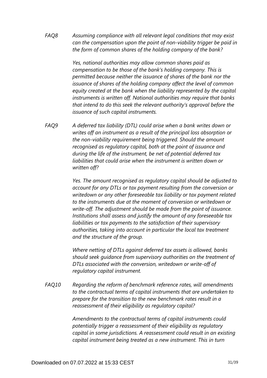*Assuming compliance with all relevant legal conditions that may exist can the compensation upon the point of non-viability trigger be paid in the form of common shares of the holding company of the bank? FAQ8*

> *Yes, national authorities may allow common shares paid as compensation to be those of the bank's holding company. This is permitted because neither the issuance of shares of the bank nor the issuance of shares of the holding company affect the level of common equity created at the bank when the liability represented by the capital instruments is written off. National authorities may require that banks that intend to do this seek the relevant authority's approval before the issuance of such capital instruments.*

*A deferred tax liability (DTL) could arise when a bank writes down or writes off an instrument as a result of the principal loss absorption or the non-viability requirement being triggered. Should the amount recognised as regulatory capital, both at the point of issuance and during the life of the instrument, be net of potential deferred tax liabilities that could arise when the instrument is written down or written off? FAQ9*

> *Yes. The amount recognised as regulatory capital should be adjusted to account for any DTLs or tax payment resulting from the conversion or writedown or any other foreseeable tax liability or tax payment related to the instruments due at the moment of conversion or writedown or write-off. The adjustment should be made from the point of issuance. Institutions shall assess and justify the amount of any foreseeable tax liabilities or tax payments to the satisfaction of their supervisory authorities, taking into account in particular the local tax treatment and the structure of the group.*

> *Where netting of DTLs against deferred tax assets is allowed, banks should seek guidance from supervisory authorities on the treatment of DTLs associated with the conversion, writedown or write-off of regulatory capital instrument.*

*Regarding the reform of benchmark reference rates, will amendments to the contractual terms of capital instruments that are undertaken to prepare for the transition to the new benchmark rates result in a reassessment of their eligibility as regulatory capital? FAQ10*

> *Amendments to the contractual terms of capital instruments could potentially trigger a reassessment of their eligibility as regulatory capital in some jurisdictions. A reassessment could result in an existing capital instrument being treated as a new instrument. This in turn*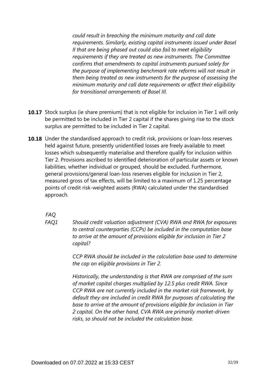*could result in breaching the minimum maturity and call date requirements. Similarly, existing capital instruments issued under Basel II that are being phased out could also fail to meet eligibility requirements if they are treated as new instruments. The Committee confirms that amendments to capital instruments pursued solely for the purpose of implementing benchmark rate reforms will not result in them being treated as new instruments for the purpose of assessing the minimum maturity and call date requirements or affect their eligibility for transitional arrangements of Basel III.*

- **10.17** Stock surplus (ie share premium) that is not eligible for inclusion in Tier 1 will only be permitted to be included in Tier 2 capital if the shares giving rise to the stock surplus are permitted to be included in Tier 2 capital.
- **10.18** Under the standardised approach to credit risk, provisions or loan-loss reserves held against future, presently unidentified losses are freely available to meet losses which subsequently materialise and therefore qualify for inclusion within Tier 2. Provisions ascribed to identified deterioration of particular assets or known liabilities, whether individual or grouped, should be excluded. Furthermore, general provisions/general loan-loss reserves eligible for inclusion in Tier 2, measured gross of tax effects, will be limited to a maximum of 1.25 percentage points of credit risk-weighted assets (RWA) calculated under the standardised approach.

*FAQ*

*Should credit valuation adjustment (CVA) RWA and RWA for exposures to central counterparties (CCPs) be included in the computation base to arrive at the amount of provisions eligible for inclusion in Tier 2 capital? FAQ1*

> *CCP RWA should be included in the calculation base used to determine the cap on eligible provisions in Tier 2.*

*Historically, the understanding is that RWA are comprised of the sum of market capital charges multiplied by 12.5 plus credit RWA. Since CCP RWA are not currently included in the market risk framework, by default they are included in credit RWA for purposes of calculating the base to arrive at the amount of provisions eligible for inclusion in Tier 2 capital. On the other hand, CVA RWA are primarily market-driven risks, so should not be included the calculation base.*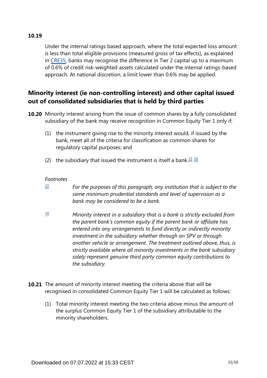### **10.19**

Under the internal ratings based approach, where the total expected loss amount is less than total eligible provisions (measured gross of tax effects), as explained in [CRE35,](https://www.bis.org/basel_framework/chapter/CRE/35.htm?tldate=20250101&inforce=20230101&published=20200327) banks may recognise the difference in Tier 2 capital up to a maximum of 0.6% of credit risk-weighted assets calculated under the internal ratings-based approach. At national discretion, a limit lower than 0.6% may be applied.

# **Minority interest (ie non-controlling interest) and other capital issued out of consolidated subsidiaries that is held by third parties**

- **10.20** Minority interest arising from the issue of common shares by a fully consolidated subsidiary of the bank may receive recognition in Common Equity Tier 1 only if:
	- (1) the instrument giving rise to the minority interest would, if issued by the bank, meet all of the criteria for classification as common shares for regulatory capital purposes; and
	- (2) the subsidiary that issued the instrument is itself a bank.<sup>[15](#page-32-0) [16](#page-32-1)</sup>

### <span id="page-32-2"></span>*Footnotes*

<span id="page-32-0"></span>*For the purposes of this paragraph, any institution that is subject to the same minimum prudential standards and level of supervision as a bank may be considered to be a bank. [15](#page-32-2)*

- <span id="page-32-1"></span>*Minority interest in a subsidiary that is a bank is strictly excluded from the parent bank's common equity if the parent bank or affiliate has entered into any arrangements to fund directly or indirectly minority investment in the subsidiary whether through an SPV or through another vehicle or arrangement. The treatment outlined above, thus, is strictly available where all minority investments in the bank subsidiary solely represent genuine third party common equity contributions to the subsidiary. [16](#page-32-2)*
- **10.21** The amount of minority interest meeting the criteria above that will be recognised in consolidated Common Equity Tier 1 will be calculated as follows:
	- (1) Total minority interest meeting the two criteria above minus the amount of the surplus Common Equity Tier 1 of the subsidiary attributable to the minority shareholders.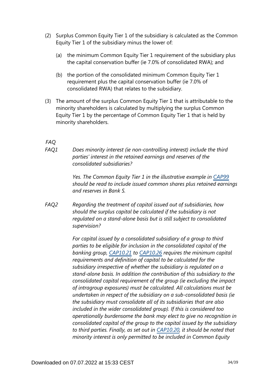- (2) Surplus Common Equity Tier 1 of the subsidiary is calculated as the Common Equity Tier 1 of the subsidiary minus the lower of:
	- (a) the minimum Common Equity Tier 1 requirement of the subsidiary plus the capital conservation buffer (ie 7.0% of consolidated RWA); and
	- (b) the portion of the consolidated minimum Common Equity Tier 1 requirement plus the capital conservation buffer (ie 7.0% of consolidated RWA) that relates to the subsidiary.
- (3) The amount of the surplus Common Equity Tier 1 that is attributable to the minority shareholders is calculated by multiplying the surplus Common Equity Tier 1 by the percentage of Common Equity Tier 1 that is held by minority shareholders.

## *FAQ*

*Does minority interest (ie non-controlling interest) include the third parties' interest in the retained earnings and reserves of the consolidated subsidiaries? FAQ1*

> *Yes. The Common Equity Tier 1 in the illustrative example in [CAP99](https://www.bis.org/basel_framework/chapter/CAP/99.htm?tldate=20250101&inforce=20191215&published=20191215) should be read to include issued common shares plus retained earnings and reserves in Bank S.*

*Regarding the treatment of capital issued out of subsidiaries, how should the surplus capital be calculated if the subsidiary is not regulated on a stand-alone basis but is still subject to consolidated supervision? FAQ2*

> *For capital issued by a consolidated subsidiary of a group to third parties to be eligible for inclusion in the consolidated capital of the banking group, [CAP10.21](https://www.bis.org/basel_framework/chapter/CAP/10.htm?tldate=20250101&inforce=20191215&published=20200605#paragraph_CAP_10_20191215_10_21) to [CAP10.26](https://www.bis.org/basel_framework/chapter/CAP/10.htm?tldate=20250101&inforce=20191215&published=20200605#paragraph_CAP_10_20191215_10_26) requires the minimum capital requirements and definition of capital to be calculated for the subsidiary irrespective of whether the subsidiary is regulated on a stand-alone basis. In addition the contribution of this subsidiary to the consolidated capital requirement of the group (ie excluding the impact of intragroup exposures) must be calculated. All calculations must be undertaken in respect of the subsidiary on a sub-consolidated basis (ie the subsidiary must consolidate all of its subsidiaries that are also included in the wider consolidated group). If this is considered too operationally burdensome the bank may elect to give no recognition in consolidated capital of the group to the capital issued by the subsidiary to third parties. Finally, as set out in [CAP10.20](https://www.bis.org/basel_framework/chapter/CAP/10.htm?tldate=20250101&inforce=20191215&published=20200605#paragraph_CAP_10_20191215_10_20), it should be noted that minority interest is only permitted to be included in Common Equity*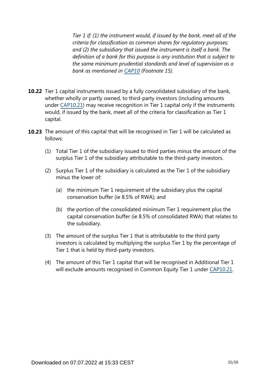*Tier 1 if: (1) the instrument would, if issued by the bank, meet all of the criteria for classification as common shares for regulatory purposes; and (2) the subsidiary that issued the instrument is itself a bank. The definition of a bank for this purpose is any institution that is subject to the same minimum prudential standards and level of supervision as a bank as mentioned in [CAP10](https://www.bis.org/basel_framework/chapter/CAP/10.htm?tldate=20250101&inforce=20191215&published=20200605) (Footnote 15).*

- **10.22** Tier 1 capital instruments issued by a fully consolidated subsidiary of the bank, whether wholly or partly owned, to third-party investors (including amounts under [CAP10.21\)](https://www.bis.org/basel_framework/chapter/CAP/10.htm?tldate=20250101&inforce=20191215&published=20200605#paragraph_CAP_10_20191215_10_21) may receive recognition in Tier 1 capital only if the instruments would, if issued by the bank, meet all of the criteria for classification as Tier 1 capital.
- **10.23** The amount of this capital that will be recognised in Tier 1 will be calculated as follows:
	- (1) Total Tier 1 of the subsidiary issued to third parties minus the amount of the surplus Tier 1 of the subsidiary attributable to the third-party investors.
	- (2) Surplus Tier 1 of the subsidiary is calculated as the Tier 1 of the subsidiary minus the lower of:
		- (a) the minimum Tier 1 requirement of the subsidiary plus the capital conservation buffer (ie 8.5% of RWA); and
		- (b) the portion of the consolidated minimum Tier 1 requirement plus the capital conservation buffer (ie 8.5% of consolidated RWA) that relates to the subsidiary.
	- (3) The amount of the surplus Tier 1 that is attributable to the third party investors is calculated by multiplying the surplus Tier 1 by the percentage of Tier 1 that is held by third-party investors.
	- (4) The amount of this Tier 1 capital that will be recognised in Additional Tier 1 will exclude amounts recognised in Common Equity Tier 1 under [CAP10.21](https://www.bis.org/basel_framework/chapter/CAP/10.htm?tldate=20250101&inforce=20191215&published=20200605#paragraph_CAP_10_20191215_10_21).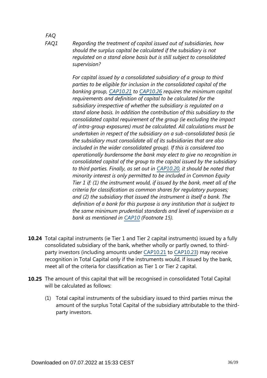### *FAQ FAQ1*

*Regarding the treatment of capital issued out of subsidiaries, how should the surplus capital be calculated if the subsidiary is not regulated on a stand alone basis but is still subject to consolidated supervision?*

*For capital issued by a consolidated subsidiary of a group to third parties to be eligible for inclusion in the consolidated capital of the banking group, [CAP10.21](https://www.bis.org/basel_framework/chapter/CAP/10.htm?tldate=20250101&inforce=20191215&published=20200605#paragraph_CAP_10_20191215_10_21) to [CAP10.26](https://www.bis.org/basel_framework/chapter/CAP/10.htm?tldate=20250101&inforce=20191215&published=20200605#paragraph_CAP_10_20191215_10_26) requires the minimum capital requirements and definition of capital to be calculated for the subsidiary irrespective of whether the subsidiary is regulated on a stand alone basis. In addition the contribution of this subsidiary to the consolidated capital requirement of the group (ie excluding the impact of intra-group exposures) must be calculated. All calculations must be undertaken in respect of the subsidiary on a sub-consolidated basis (ie the subsidiary must consolidate all of its subsidiaries that are also included in the wider consolidated group). If this is considered too operationally burdensome the bank may elect to give no recognition in consolidated capital of the group to the capital issued by the subsidiary to third parties. Finally, as set out in [CAP10.20](https://www.bis.org/basel_framework/chapter/CAP/10.htm?tldate=20250101&inforce=20191215&published=20200605#paragraph_CAP_10_20191215_10_20), it should be noted that minority interest is only permitted to be included in Common Equity Tier 1 if: (1) the instrument would, if issued by the bank, meet all of the criteria for classification as common shares for regulatory purposes; and (2) the subsidiary that issued the instrument is itself a bank. The definition of a bank for this purpose is any institution that is subject to the same minimum prudential standards and level of supervision as a bank as mentioned in [CAP10](https://www.bis.org/basel_framework/chapter/CAP/10.htm?tldate=20250101&inforce=20191215&published=20200605) (Footnote 15).*

- **10.24** Total capital instruments (ie Tier 1 and Tier 2 capital instruments) issued by a fully consolidated subsidiary of the bank, whether wholly or partly owned, to thirdparty investors (including amounts under [CAP10.21](https://www.bis.org/basel_framework/chapter/CAP/10.htm?tldate=20250101&inforce=20191215&published=20200605#paragraph_CAP_10_20191215_10_21) to [CAP10.23\)](https://www.bis.org/basel_framework/chapter/CAP/10.htm?tldate=20250101&inforce=20191215&published=20200605#paragraph_CAP_10_20191215_10_23) may receive recognition in Total Capital only if the instruments would, if issued by the bank, meet all of the criteria for classification as Tier 1 or Tier 2 capital.
- **10.25** The amount of this capital that will be recognised in consolidated Total Capital will be calculated as follows:
	- (1) Total capital instruments of the subsidiary issued to third parties minus the amount of the surplus Total Capital of the subsidiary attributable to the thirdparty investors.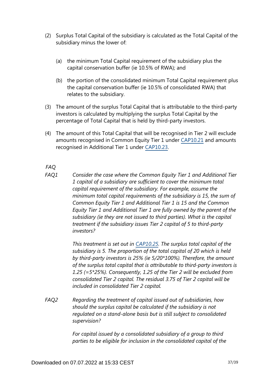- (2) Surplus Total Capital of the subsidiary is calculated as the Total Capital of the subsidiary minus the lower of:
	- (a) the minimum Total Capital requirement of the subsidiary plus the capital conservation buffer (ie 10.5% of RWA); and
	- (b) the portion of the consolidated minimum Total Capital requirement plus the capital conservation buffer (ie 10.5% of consolidated RWA) that relates to the subsidiary.
- (3) The amount of the surplus Total Capital that is attributable to the third-party investors is calculated by multiplying the surplus Total Capital by the percentage of Total Capital that is held by third-party investors.
- (4) The amount of this Total Capital that will be recognised in Tier 2 will exclude amounts recognised in Common Equity Tier 1 under [CAP10.21](https://www.bis.org/basel_framework/chapter/CAP/10.htm?tldate=20250101&inforce=20191215&published=20200605#paragraph_CAP_10_20191215_10_21) and amounts recognised in Additional Tier 1 under [CAP10.23](https://www.bis.org/basel_framework/chapter/CAP/10.htm?tldate=20250101&inforce=20191215&published=20200605#paragraph_CAP_10_20191215_10_23).

*FAQ*

*Consider the case where the Common Equity Tier 1 and Additional Tier 1 capital of a subsidiary are sufficient to cover the minimum total capital requirement of the subsidiary. For example, assume the minimum total capital requirements of the subsidiary is 15, the sum of Common Equity Tier 1 and Additional Tier 1 is 15 and the Common Equity Tier 1 and Additional Tier 1 are fully owned by the parent of the subsidiary (ie they are not issued to third parties). What is the capital treatment if the subsidiary issues Tier 2 capital of 5 to third-party investors? FAQ1*

> *This treatment is set out in [CAP10.25](https://www.bis.org/basel_framework/chapter/CAP/10.htm?tldate=20250101&inforce=20191215&published=20200605#paragraph_CAP_10_20191215_10_25). The surplus total capital of the subsidiary is 5. The proportion of the total capital of 20 which is held by third-party investors is 25% (ie 5/20\*100%). Therefore, the amount of the surplus total capital that is attributable to third-party investors is 1.25 (=5\*25%). Consequently, 1.25 of the Tier 2 will be excluded from consolidated Tier 2 capital. The residual 3.75 of Tier 2 capital will be included in consolidated Tier 2 capital.*

*Regarding the treatment of capital issued out of subsidiaries, how should the surplus capital be calculated if the subsidiary is not regulated on a stand-alone basis but is still subject to consolidated supervision? FAQ2*

> *For capital issued by a consolidated subsidiary of a group to third parties to be eligible for inclusion in the consolidated capital of the*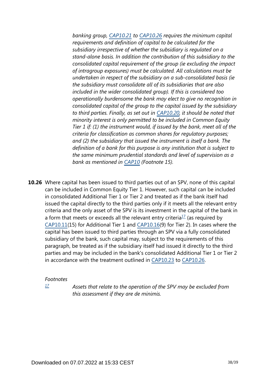*banking group, [CAP10.21](https://www.bis.org/basel_framework/chapter/CAP/10.htm?tldate=20250101&inforce=20191215&published=20200605#paragraph_CAP_10_20191215_10_21) to [CAP10.26](https://www.bis.org/basel_framework/chapter/CAP/10.htm?tldate=20250101&inforce=20191215&published=20200605#paragraph_CAP_10_20191215_10_26) requires the minimum capital requirements and definition of capital to be calculated for the subsidiary irrespective of whether the subsidiary is regulated on a stand-alone basis. In addition the contribution of this subsidiary to the consolidated capital requirement of the group (ie excluding the impact of intragroup exposures) must be calculated. All calculations must be undertaken in respect of the subsidiary on a sub-consolidated basis (ie the subsidiary must consolidate all of its subsidiaries that are also included in the wider consolidated group). If this is considered too operationally burdensome the bank may elect to give no recognition in consolidated capital of the group to the capital issued by the subsidiary to third parties. Finally, as set out in [CAP10.20](https://www.bis.org/basel_framework/chapter/CAP/10.htm?tldate=20250101&inforce=20191215&published=20200605#paragraph_CAP_10_20191215_10_20), it should be noted that minority interest is only permitted to be included in Common Equity Tier 1 if: (1) the instrument would, if issued by the bank, meet all of the criteria for classification as common shares for regulatory purposes; and (2) the subsidiary that issued the instrument is itself a bank. The definition of a bank for this purpose is any institution that is subject to the same minimum prudential standards and level of supervision as a bank as mentioned in [CAP10](https://www.bis.org/basel_framework/chapter/CAP/10.htm?tldate=20250101&inforce=20191215&published=20200605) (Footnote 15).*

<span id="page-37-1"></span>**10.26** Where capital has been issued to third parties out of an SPV, none of this capital can be included in Common Equity Tier 1. However, such capital can be included in consolidated Additional Tier 1 or Tier 2 and treated as if the bank itself had issued the capital directly to the third parties only if it meets all the relevant entry criteria and the only asset of the SPV is its investment in the capital of the bank in a form that meets or exceeds all the relevant entry criteria<sup>[17](#page-37-0)</sup> (as required by [CAP10.11\(](https://www.bis.org/basel_framework/chapter/CAP/10.htm?tldate=20250101&inforce=20191215&published=20200605#paragraph_CAP_10_20191215_10_11)15) for Additional Tier 1 and [CAP10.16](https://www.bis.org/basel_framework/chapter/CAP/10.htm?tldate=20250101&inforce=20191215&published=20200605#paragraph_CAP_10_20191215_10_16)(9) for Tier 2). In cases where the capital has been issued to third parties through an SPV via a fully consolidated subsidiary of the bank, such capital may, subject to the requirements of this paragraph, be treated as if the subsidiary itself had issued it directly to the third parties and may be included in the bank's consolidated Additional Tier 1 or Tier 2 in accordance with the treatment outlined in [CAP10.23](https://www.bis.org/basel_framework/chapter/CAP/10.htm?tldate=20250101&inforce=20191215&published=20200605#paragraph_CAP_10_20191215_10_23) to [CAP10.26](https://www.bis.org/basel_framework/chapter/CAP/10.htm?tldate=20250101&inforce=20191215&published=20200605#paragraph_CAP_10_20191215_10_26).

#### *Footnotes*

<span id="page-37-0"></span>*[17](#page-37-1)*

*Assets that relate to the operation of the SPV may be excluded from this assessment if they are de minimis.*